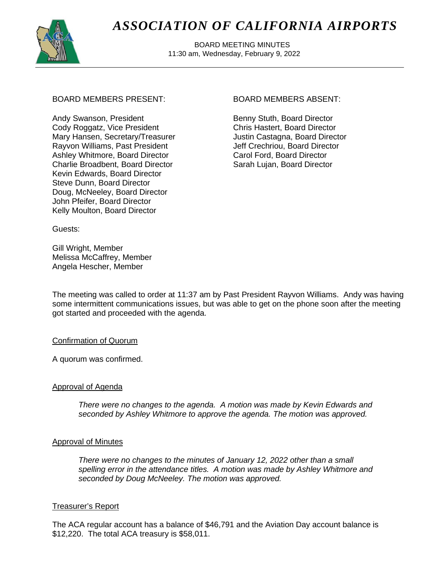

# *ASSOCIATION OF CALIFORNIA AIRPORTS*

 BOARD MEETING MINUTES 11:30 am, Wednesday, February 9, 2022

# BOARD MEMBERS PRESENT: BOARD MEMBERS ABSENT:

Andy Swanson, President Cody Roggatz, Vice President Mary Hansen, Secretary/Treasurer Rayvon Williams, Past President Ashley Whitmore, Board Director Charlie Broadbent, Board Director Kevin Edwards, Board Director Steve Dunn, Board Director Doug, McNeeley, Board Director John Pfeifer, Board Director Kelly Moulton, Board Director

Benny Stuth, Board Director Chris Hastert, Board Director Justin Castagna, Board Director Jeff Crechriou, Board Director Carol Ford, Board Director Sarah Lujan, Board Director

Guests:

Gill Wright, Member Melissa McCaffrey, Member Angela Hescher, Member

The meeting was called to order at 11:37 am by Past President Rayvon Williams. Andy was having some intermittent communications issues, but was able to get on the phone soon after the meeting got started and proceeded with the agenda.

## Confirmation of Quorum

A quorum was confirmed.

# Approval of Agenda

*There were no changes to the agenda. A motion was made by Kevin Edwards and seconded by Ashley Whitmore to approve the agenda. The motion was approved.*

## Approval of Minutes

*There were no changes to the minutes of January 12, 2022 other than a small spelling error in the attendance titles. A motion was made by Ashley Whitmore and seconded by Doug McNeeley. The motion was approved.*

# Treasurer's Report

The ACA regular account has a balance of \$46,791 and the Aviation Day account balance is \$12,220. The total ACA treasury is \$58,011.